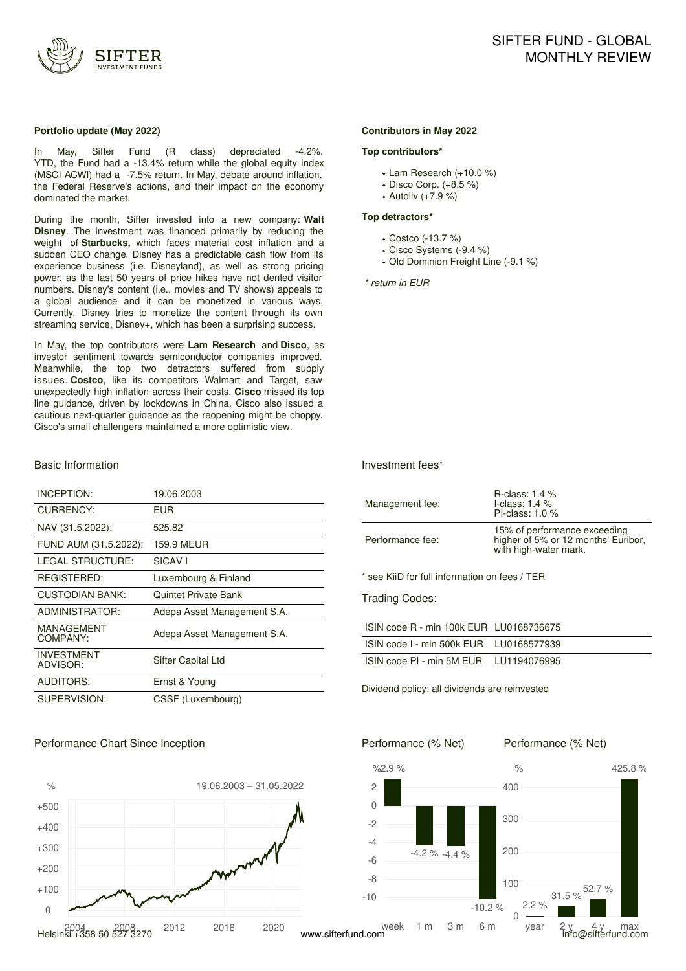

#### **Portfolio update (May 2022)**

In May, Sifter Fund (R class) depreciated -4.2%. YTD, the Fund had a -13.4% return while the global equity index (MSCI ACWI) had a -7.5% return. In May, debate around inflation, the Federal Reserve's actions, and their impact on the economy dominated the market.

During the month, Sifter invested into a new company: **Walt Disney**. The investment was financed primarily by reducing the weight of **Starbucks,** which faces material cost inflation and a sudden CEO change. Disney has a predictable cash flow from its experience business (i.e. Disneyland), as well as strong pricing power, as the last 50 years of price hikes have not dented visitor numbers. Disney's content (i.e., movies and TV shows) appeals to a global audience and it can be monetized in various ways. Currently, Disney tries to monetize the content through its own streaming service, Disney+, which has been a surprising success.

In May, the top contributors were **Lam Research** and **Disco**, as investor sentiment towards semiconductor companies improved. Meanwhile, the top two detractors suffered from supply issues. **Costco**, like its competitors Walmart and Target, saw unexpectedly high inflation across their costs. **Cisco** missed its top line guidance, driven by lockdowns in China. Cisco also issued a cautious next-quarter guidance as the reopening might be choppy. Cisco's small challengers maintained a more optimistic view.

#### Basic Information

| INCEPTION:                    | 19.06.2003                  |
|-------------------------------|-----------------------------|
| CURRENCY:                     | EUR                         |
| NAV (31.5.2022):              | 525.82                      |
| FUND AUM (31.5.2022):         | <b>159.9 MEUR</b>           |
| <b>LEGAL STRUCTURE:</b>       | SICAV <sub>I</sub>          |
| REGISTERED:                   | Luxembourg & Finland        |
| <b>CUSTODIAN BANK:</b>        | <b>Quintet Private Bank</b> |
| ADMINISTRATOR:                | Adepa Asset Management S.A. |
| MANAGEMENT<br>COMPANY:        | Adepa Asset Management S.A. |
| <b>INVESTMENT</b><br>ADVISOR: | Sifter Capital Ltd          |
| <b>AUDITORS:</b>              | Ernst & Young               |
| SUPERVISION:                  | CSSF (Luxembourg)           |

### Performance Chart Since Inception



#### **Contributors in May 2022**

#### **Top contributors\***

- Lam Research (+10.0 %)
- Disco Corp. (+8.5 %)
- Autoliv (+7.9 %)

#### **Top detractors\***

- Costco (-13.7 %)
- Cisco Systems (-9.4 %)
- Old Dominion Freight Line (-9.1 %)

*\* return in EUR*

#### Investment fees\*

| Management fee:                               | R-class: $1.4\%$<br>I-class: $1.4\%$<br>PI-class: $1.0\%$                                    |
|-----------------------------------------------|----------------------------------------------------------------------------------------------|
| Performance fee:                              | 15% of performance exceeding<br>higher of 5% or 12 months' Euribor,<br>with high-water mark. |
| * see KiiD for full information on fees / TER |                                                                                              |
| <b>Trading Codes:</b>                         |                                                                                              |
| ISIN code R - min 100k EUR LU0168736675       |                                                                                              |
| ISIN code I - min 500k EUR    LU0168577939    |                                                                                              |

| ISIN code PI - min 5M EUR | LU1194076995 |
|---------------------------|--------------|

Dividend policy: all dividends are reinvested

Performance (% Net)

Performance (% Net)